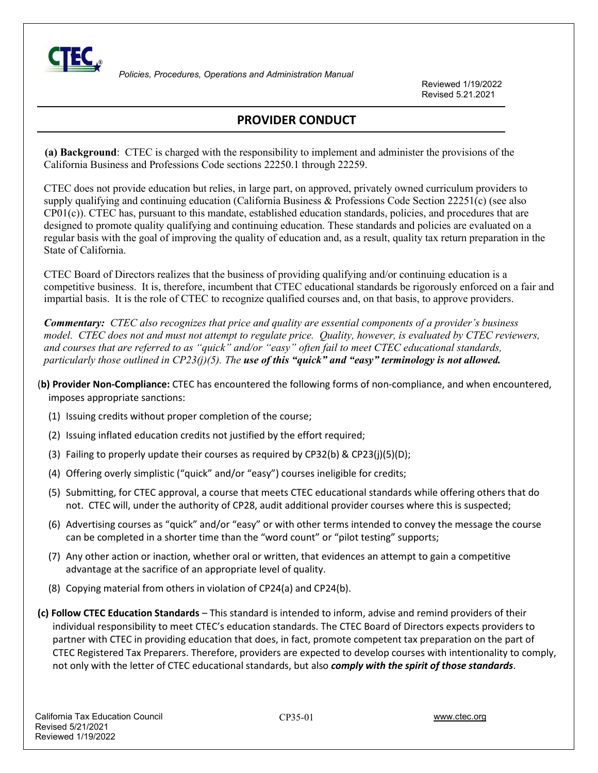

 *Policies, Procedures, Operations and Administration Manual*

Reviewed 1/19/2022 Revised 5.21.2021

## **PROVIDER CONDUCT**

 **(a) Background**: CTEC is charged with the responsibility to implement and administer the provisions of the California Business and Professions Code sections 22250.1 through 22259.

CTEC does not provide education but relies, in large part, on approved, privately owned curriculum providers to supply qualifying and continuing education (California Business & Professions Code Section 22251(c) (see also CP01(c)). CTEC has, pursuant to this mandate, established education standards, policies, and procedures that are designed to promote quality qualifying and continuing education. These standards and policies are evaluated on a regular basis with the goal of improving the quality of education and, as a result, quality tax return preparation in the State of California.

CTEC Board of Directors realizes that the business of providing qualifying and/or continuing education is a competitive business. It is, therefore, incumbent that CTEC educational standards be rigorously enforced on a fair and impartial basis. It is the role of CTEC to recognize qualified courses and, on that basis, to approve providers.

*Commentary: CTEC also recognizes that price and quality are essential components of a provider's business model. CTEC does not and must not attempt to regulate price. Quality, however, is evaluated by CTEC reviewers, and courses that are referred to as "quick" and/or "easy" often fail to meet CTEC educational standards, particularly those outlined in CP23(j)(5). The use of this "quick" and "easy" terminology is not allowed.* 

- (**b) Provider Non-Compliance:** CTEC has encountered the following forms of non-compliance, and when encountered, imposes appropriate sanctions:
	- (1) Issuing credits without proper completion of the course;
	- (2) Issuing inflated education credits not justified by the effort required;
	- (3) Failing to properly update their courses as required by CP32(b) & CP23(j)(5)(D);
	- (4) Offering overly simplistic ("quick" and/or "easy") courses ineligible for credits;
	- (5) Submitting, for CTEC approval, a course that meets CTEC educational standards while offering others that do not. CTEC will, under the authority of CP28, audit additional provider courses where this is suspected;
	- (6) Advertising courses as "quick" and/or "easy" or with other terms intended to convey the message the course can be completed in a shorter time than the "word count" or "pilot testing" supports;
	- (7) Any other action or inaction, whether oral or written, that evidences an attempt to gain a competitive advantage at the sacrifice of an appropriate level of quality.
	- (8) Copying material from others in violation of CP24(a) and CP24(b).
- **(c) Follow CTEC Education Standards** This standard is intended to inform, advise and remind providers of their individual responsibility to meet CTEC's education standards. The CTEC Board of Directors expects providers to partner with CTEC in providing education that does, in fact, promote competent tax preparation on the part of CTEC Registered Tax Preparers. Therefore, providers are expected to develop courses with intentionality to comply, not only with the letter of CTEC educational standards, but also *comply with the spirit of those standards*.